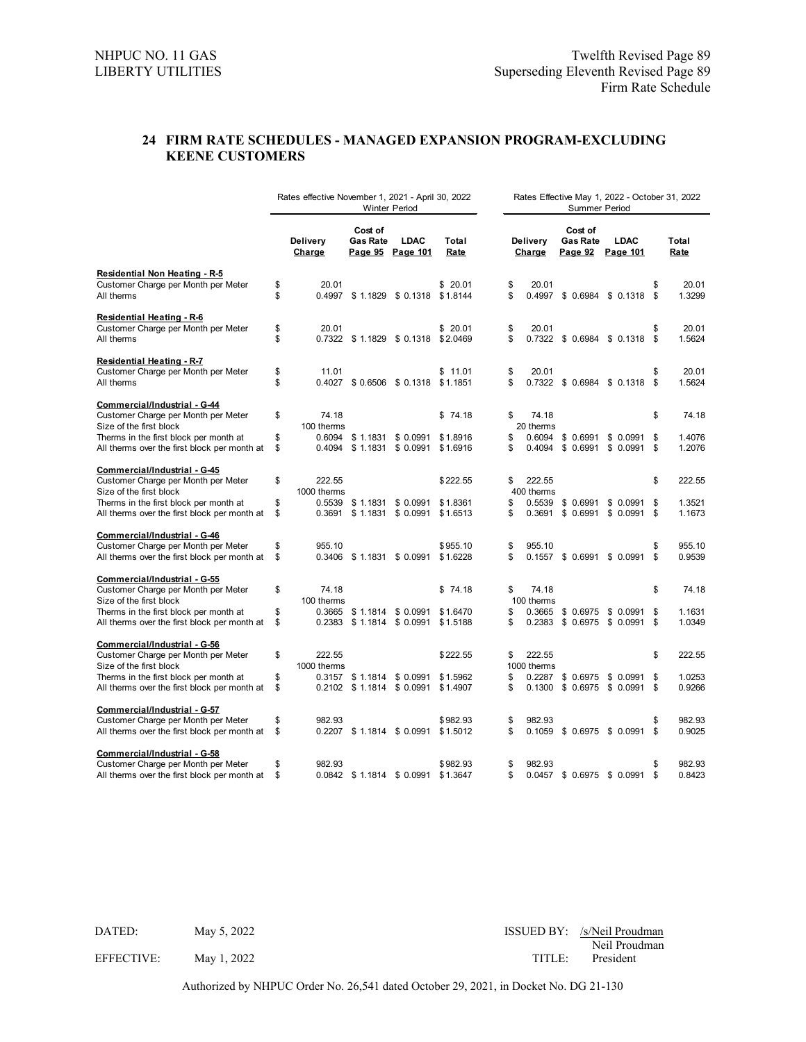## **24 FIRM RATE SCHEDULES - MANAGED EXPANSION PROGRAM-EXCLUDING KEENE CUSTOMERS**

|                                                                                        |          | Rates effective November 1, 2021 - April 30, 2022 |                            | <b>Winter Period</b>                                |                      | Rates Effective May 1, 2022 - October 31, 2022<br>Summer Period |                      |                                       |                               |          |                  |  |  |  |  |
|----------------------------------------------------------------------------------------|----------|---------------------------------------------------|----------------------------|-----------------------------------------------------|----------------------|-----------------------------------------------------------------|----------------------|---------------------------------------|-------------------------------|----------|------------------|--|--|--|--|
|                                                                                        |          | Delivery<br>Charge                                | Cost of<br><b>Gas Rate</b> | <b>LDAC</b><br>Page 95 Page 101                     | Total<br>Rate        |                                                                 | Delivery<br>Charge   | Cost of<br><b>Gas Rate</b><br>Page 92 | <b>LDAC</b><br>Page 101       |          | Total<br>Rate    |  |  |  |  |
| Residential Non Heating - R-5                                                          |          |                                                   |                            |                                                     |                      |                                                                 |                      |                                       |                               |          |                  |  |  |  |  |
| Customer Charge per Month per Meter<br>All therms                                      | \$<br>\$ | 20.01                                             |                            | 0.4997 \$1.1829 \$0.1318 \$1.8144                   | \$20.01              | \$<br>\$                                                        | 20.01                |                                       | 0.4997 \$ 0.6984 \$ 0.1318 \$ | \$       | 20.01<br>1.3299  |  |  |  |  |
| <b>Residential Heating - R-6</b>                                                       |          |                                                   |                            |                                                     |                      |                                                                 |                      |                                       |                               |          |                  |  |  |  |  |
| Customer Charge per Month per Meter<br>All therms                                      | \$<br>\$ | 20.01                                             |                            | 0.7322 \$1.1829 \$0.1318 \$2.0469                   | \$20.01              | \$<br>\$                                                        | 20.01                |                                       | 0.7322 \$ 0.6984 \$ 0.1318 \$ | \$       | 20.01<br>1.5624  |  |  |  |  |
| <b>Residential Heating - R-7</b>                                                       |          |                                                   |                            |                                                     |                      |                                                                 |                      |                                       |                               |          |                  |  |  |  |  |
| Customer Charge per Month per Meter<br>All therms                                      | \$<br>\$ | 11.01                                             |                            | 0.4027 \$0.6506 \$0.1318 \$1.1851                   | \$11.01              | \$<br>\$                                                        | 20.01                |                                       | 0.7322 \$ 0.6984 \$ 0.1318 \$ | \$       | 20.01<br>1.5624  |  |  |  |  |
| Commercial/Industrial - G-44                                                           |          |                                                   |                            |                                                     |                      |                                                                 |                      |                                       |                               |          |                  |  |  |  |  |
| Customer Charge per Month per Meter                                                    | \$       | 74.18                                             |                            |                                                     | \$74.18              | \$                                                              | 74.18                |                                       |                               | \$       | 74.18            |  |  |  |  |
| Size of the first block                                                                | \$       | 100 therms                                        |                            |                                                     | \$1,8916             | \$                                                              | 20 therms<br>0.6094  |                                       |                               |          | 1.4076           |  |  |  |  |
| Therms in the first block per month at<br>All therms over the first block per month at | \$       | 0.4094                                            |                            | $0.6094$ \$ 1.1831 \$ 0.0991<br>$$1.1831$ $$0.0991$ | \$1.6916             | \$                                                              | 0.4094               | \$ 0.6991<br>\$0.6991                 | \$ 0.0991<br>$$0.0991$ \$     | -\$      | 1.2076           |  |  |  |  |
| Commercial/Industrial - G-45                                                           |          |                                                   |                            |                                                     |                      |                                                                 |                      |                                       |                               |          |                  |  |  |  |  |
| Customer Charge per Month per Meter                                                    | \$       | 222.55                                            |                            |                                                     | \$222.55             | \$                                                              | 222.55               |                                       |                               | \$       | 222.55           |  |  |  |  |
| Size of the first block                                                                |          | 1000 therms                                       |                            |                                                     |                      |                                                                 | 400 therms           |                                       |                               |          |                  |  |  |  |  |
| Therms in the first block per month at<br>All therms over the first block per month at | \$<br>\$ | 0.5539                                            |                            | $$1.1831$ $$0.0991$<br>0.3691 \$1.1831 \$0.0991     | \$1.8361<br>\$1.6513 | \$<br>\$                                                        | 0.5539               | \$0.6991<br>0.3691 \$ 0.6991          | \$0.0991<br>\$0.0991          | \$<br>\$ | 1.3521<br>1.1673 |  |  |  |  |
| Commercial/Industrial - G-46                                                           |          |                                                   |                            |                                                     |                      |                                                                 |                      |                                       |                               |          |                  |  |  |  |  |
| Customer Charge per Month per Meter                                                    | \$       | 955.10                                            |                            |                                                     | \$955.10             | \$                                                              | 955.10               |                                       |                               | \$       | 955.10           |  |  |  |  |
| All therms over the first block per month at                                           | \$       |                                                   | 0.3406 \$1.1831 \$0.0991   |                                                     | \$1.6228             | \$                                                              |                      | 0.1557 \$ 0.6991                      | \$0.0991                      | \$       | 0.9539           |  |  |  |  |
| Commercial/Industrial - G-55                                                           |          |                                                   |                            |                                                     |                      |                                                                 |                      |                                       |                               |          |                  |  |  |  |  |
| Customer Charge per Month per Meter                                                    | \$       | 74.18                                             |                            |                                                     | \$74.18              | \$                                                              | 74.18                |                                       |                               | \$       | 74.18            |  |  |  |  |
| Size of the first block                                                                | \$       | 100 therms                                        | 0.3665 \$1.1814 \$0.0991   |                                                     | \$1.6470             | \$                                                              | 100 therms<br>0.3665 | \$0.6975                              | \$ 0.0991                     | \$       | 1.1631           |  |  |  |  |
| Therms in the first block per month at<br>All therms over the first block per month at | \$       | 0.2383                                            |                            | $$1.1814$ $$0.0991$                                 | \$1.5188             | \$                                                              | 0.2383               | \$ 0.6975                             | \$ 0.0991                     | \$       | 1.0349           |  |  |  |  |
| Commercial/Industrial - G-56                                                           |          |                                                   |                            |                                                     |                      |                                                                 |                      |                                       |                               |          |                  |  |  |  |  |
| Customer Charge per Month per Meter                                                    | \$       | 222.55                                            |                            |                                                     | \$222.55             | \$                                                              | 222.55               |                                       |                               | \$       | 222.55           |  |  |  |  |
| Size of the first block                                                                |          | 1000 therms                                       |                            |                                                     |                      |                                                                 | 1000 therms          |                                       |                               |          |                  |  |  |  |  |
| Therms in the first block per month at                                                 | \$<br>\$ |                                                   |                            | 0.3157 \$1.1814 \$0.0991                            | \$1.5962             | \$                                                              | 0.2287               | \$0.6975                              | \$ 0.0991                     | \$<br>\$ | 1.0253<br>0.9266 |  |  |  |  |
| All therms over the first block per month at                                           |          |                                                   |                            | $0.2102 \quad $1.1814 \quad $0.0991$                | \$1.4907             | \$                                                              |                      |                                       | 0.1300 \$ 0.6975 \$ 0.0991    |          |                  |  |  |  |  |
| Commercial/Industrial - G-57                                                           |          |                                                   |                            |                                                     |                      |                                                                 |                      |                                       |                               |          |                  |  |  |  |  |
| Customer Charge per Month per Meter                                                    | \$       | 982.93                                            |                            |                                                     | \$982.93             | \$<br>\$                                                        | 982.93               |                                       |                               | \$<br>\$ | 982.93<br>0.9025 |  |  |  |  |
| All therms over the first block per month at                                           | \$       |                                                   |                            | $0.2207$ \$1.1814 \$0.0991                          | \$1.5012             |                                                                 |                      |                                       | $0.1059$ \$ 0.6975 \$ 0.0991  |          |                  |  |  |  |  |
| Commercial/Industrial - G-58                                                           |          |                                                   |                            |                                                     |                      |                                                                 |                      |                                       |                               |          |                  |  |  |  |  |
| Customer Charge per Month per Meter<br>All therms over the first block per month at    | \$<br>\$ | 982.93                                            | 0.0842 \$1.1814 \$0.0991   |                                                     | \$982.93<br>\$1.3647 | \$<br>\$                                                        | 982.93               | 0.0457 \$ 0.6975                      | \$0.0991                      | \$<br>\$ | 982.93<br>0.8423 |  |  |  |  |
|                                                                                        |          |                                                   |                            |                                                     |                      |                                                                 |                      |                                       |                               |          |                  |  |  |  |  |

| DATED: |  | M |  |
|--------|--|---|--|

Issued BY: /s/Neil Proudman / ISSUED BY: /s/Neil Proudman Neil Proudman EFFECTIVE: May 1, 2022 TITLE: President

Authorized by NHPUC Order No. 26,541 dated October 29, 2021, in Docket No. DG 21-130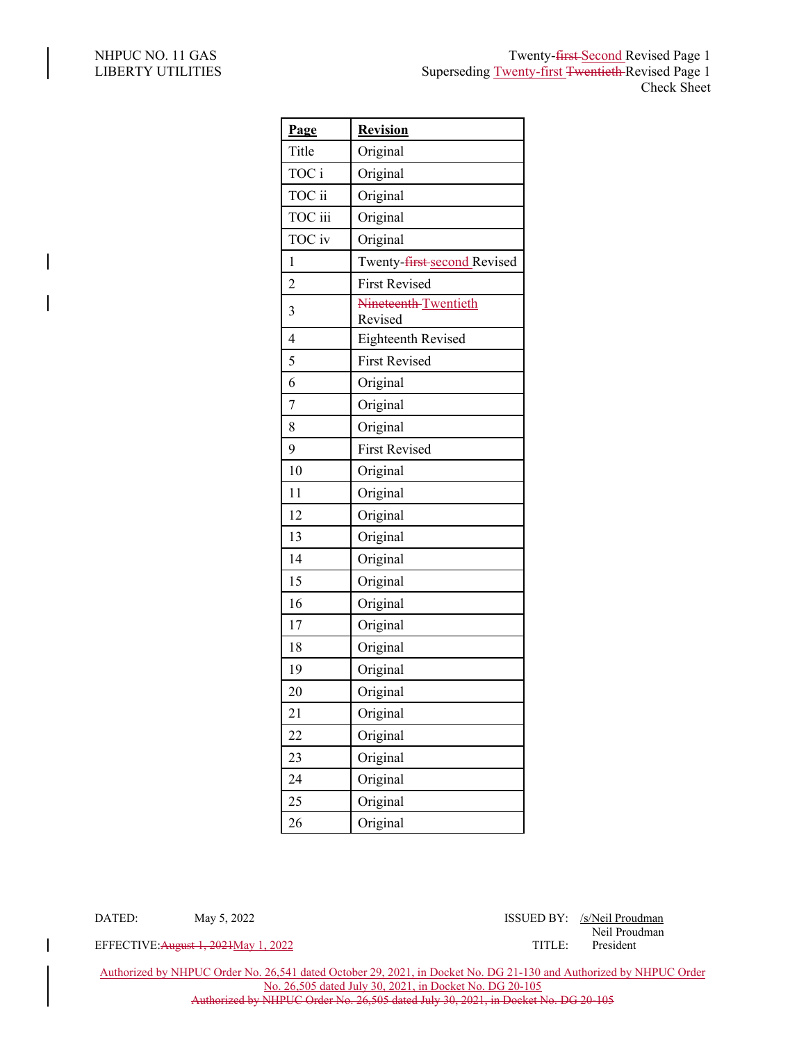| Page           | <b>Revision</b>                 |
|----------------|---------------------------------|
| Title          | Original                        |
| TOC i          | Original                        |
| TOC ii         | Original                        |
| TOC iii        | Original                        |
| TOC iv         | Original                        |
| 1              | Twenty-first-second Revised     |
| $\overline{2}$ | <b>First Revised</b>            |
| 3              | Nineteenth-Twentieth<br>Revised |
| $\overline{4}$ | Eighteenth Revised              |
| 5              | <b>First Revised</b>            |
| 6              | Original                        |
| $\overline{7}$ | Original                        |
| 8              | Original                        |
| 9              | <b>First Revised</b>            |
| 10             | Original                        |
| 11             | Original                        |
| 12             | Original                        |
| 13             | Original                        |
| 14             | Original                        |
| 15             | Original                        |
| 16             | Original                        |
| 17             | Original                        |
| 18             | Original                        |
| 19             | Original                        |
| 20             | Original                        |
| 21             | Original                        |
| 22             | Original                        |
| 23             | Original                        |
| 24             | Original                        |
| 25             | Original                        |
| 26             | Original                        |

DATED: May 5, 2022 May 18SUED BY: /s/Neil Proudman

Neil Proudman

EFFECTIVE: August 1, 2021 May 1, 2022 TITLE:

Authorized by NHPUC Order No. 26,541 dated October 29, 2021, in Docket No. DG 21-130 and Authorized by NHPUC Order No. 26,505 dated July 30, 2021, in Docket No. DG 20-105 Authorized by NHPUC Order No. 26,505 dated July 30, 2021, in Docket No. DG 20-105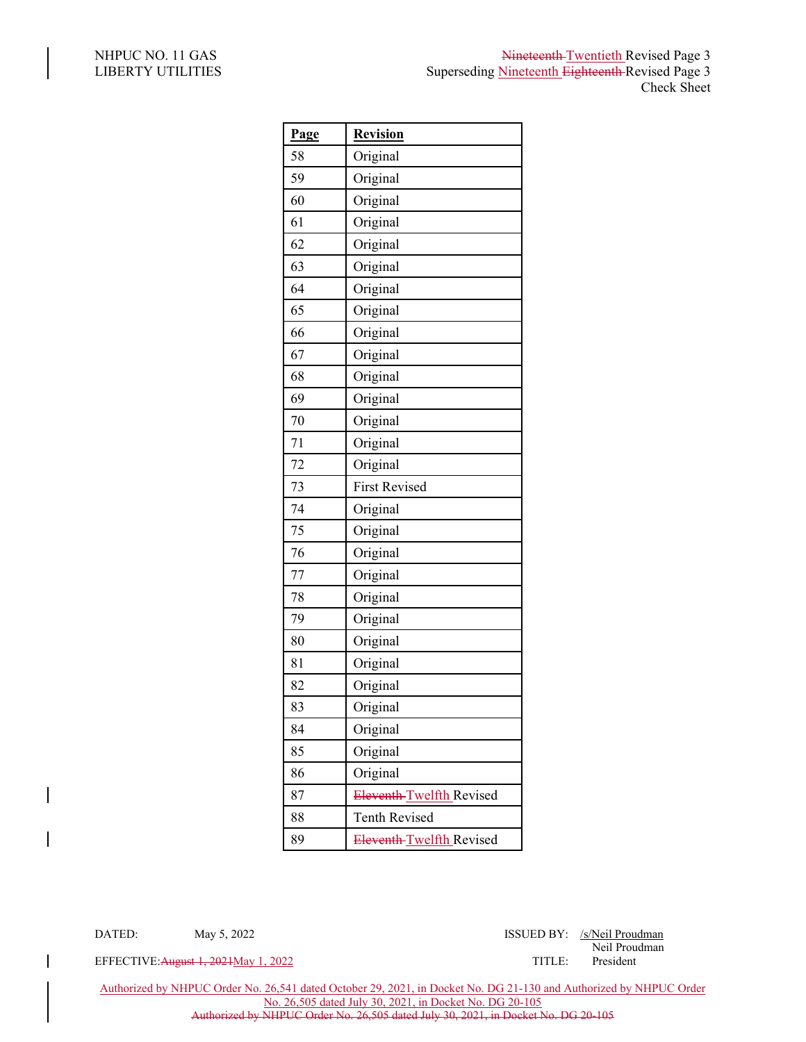| Page | <b>Revision</b>          |
|------|--------------------------|
| 58   | Original                 |
| 59   | Original                 |
| 60   | Original                 |
| 61   | Original                 |
| 62   | Original                 |
| 63   | Original                 |
| 64   | Original                 |
| 65   | Original                 |
| 66   | Original                 |
| 67   | Original                 |
| 68   | Original                 |
| 69   | Original                 |
| 70   | Original                 |
| 71   | Original                 |
| 72   | Original                 |
| 73   | <b>First Revised</b>     |
| 74   | Original                 |
| 75   | Original                 |
| 76   | Original                 |
| 77   | Original                 |
| 78   | Original                 |
| 79   | Original                 |
| 80   | Original                 |
| 81   | Original                 |
| 82   | Original                 |
| 83   | Original                 |
| 84   | Original                 |
| 85   | Original                 |
| 86   | Original                 |
| 87   | Eleventh-Twelfth Revised |
| 88   | <b>Tenth Revised</b>     |
| 89   | Eleventh-Twelfth Revised |

DATED: May 5, 2022 May 18SUED BY: /s/Neil Proudman Neil Proudman

EFFECTIVE: August 1, 2021 May 1, 2022

Authorized by NHPUC Order No. 26,541 dated October 29, 2021, in Docket No. DG 21-130 and Authorized by NHPUC Order No. 26,505 dated July 30, 2021, in Docket No. DG 20-105 Authorized by NHPUC Order No. 26,505 dated July 30, 2021, in Docket No. DG 20-105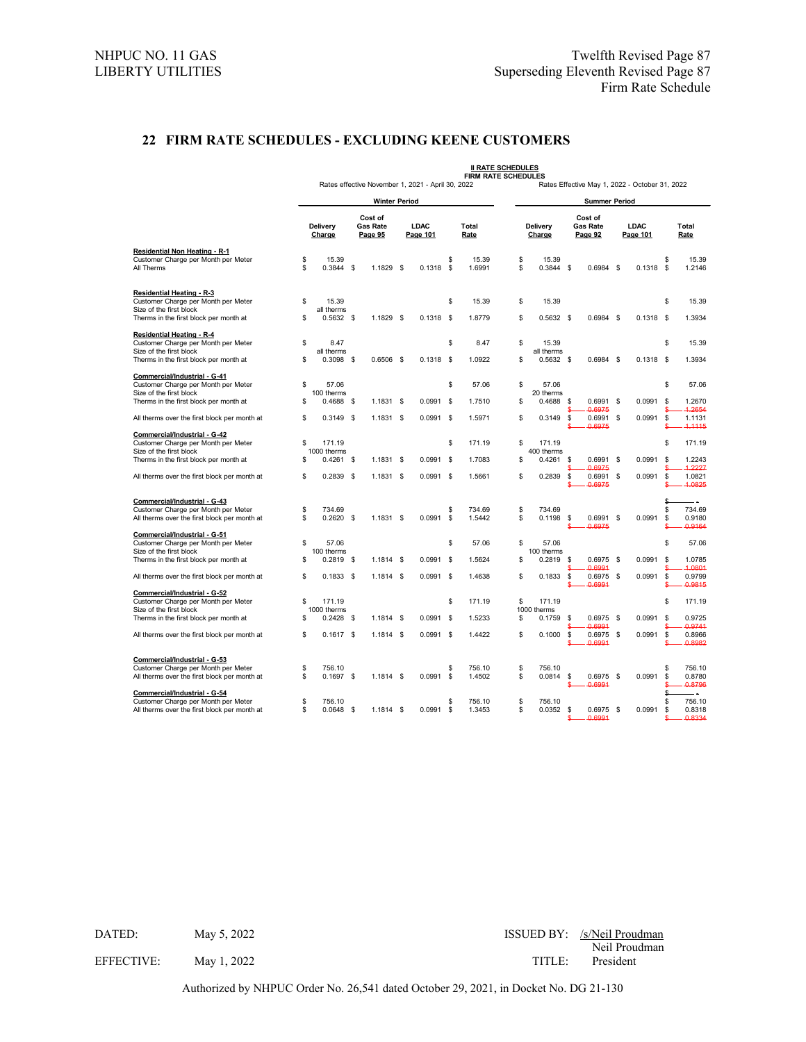## **22 FIRM RATE SCHEDULES - EXCLUDING KEENE CUSTOMERS**

|                                                                                                                                       | <b>II RATE SCHEDULES</b><br><b>FIRM RATE SCHEDULES</b> |                                    |      |                                       |      |                                                   |           |                                                |                      |                       |                                       |                            |                         |             |                 |                                   |  |  |
|---------------------------------------------------------------------------------------------------------------------------------------|--------------------------------------------------------|------------------------------------|------|---------------------------------------|------|---------------------------------------------------|-----------|------------------------------------------------|----------------------|-----------------------|---------------------------------------|----------------------------|-------------------------|-------------|-----------------|-----------------------------------|--|--|
|                                                                                                                                       |                                                        |                                    |      |                                       |      | Rates effective November 1, 2021 - April 30, 2022 |           | Rates Effective May 1, 2022 - October 31, 2022 |                      |                       |                                       |                            |                         |             |                 |                                   |  |  |
|                                                                                                                                       |                                                        |                                    |      | <b>Winter Period</b>                  |      |                                                   |           |                                                | <b>Summer Period</b> |                       |                                       |                            |                         |             |                 |                                   |  |  |
|                                                                                                                                       | Delivery<br>Charge                                     |                                    |      | Cost of<br><b>Gas Rate</b><br>Page 95 |      | LDAC<br>Page 101                                  |           | Total<br>Rate                                  | Delivery<br>Charge   |                       | Cost of<br><b>Gas Rate</b><br>Page 92 |                            | <b>LDAC</b><br>Page 101 |             |                 | Total<br>Rate                     |  |  |
| Residential Non Heating - R-1<br>Customer Charge per Month per Meter<br>All Therms                                                    | \$<br>\$                                               | 15.39<br>$0.3844$ \$               |      | 1.1829 \$                             |      | $0.1318$ \$                                       | \$        | 15.39<br>1.6991                                | \$<br>\$             | 15.39<br>$0.3844$ \$  |                                       | 0.6984 \$                  |                         | 0.1318      | \$<br>\$        | 15.39<br>1.2146                   |  |  |
| Residential Heating - R-3<br>Customer Charge per Month per Meter<br>Size of the first block<br>Therms in the first block per month at | \$<br>S                                                | 15.39<br>all therms<br>$0.5632$ \$ |      | 1.1829 \$                             |      | $0.1318$ \$                                       | \$        | 15.39<br>1.8779                                | \$<br>\$             | 15.39<br>$0.5632$ \$  |                                       | $0.6984$ \$                |                         | $0.1318$ \$ | \$              | 15.39<br>1.3934                   |  |  |
| <b>Residential Heating - R-4</b><br>Customer Charge per Month per Meter                                                               | \$                                                     | 8.47<br>all therms                 |      |                                       |      |                                                   | \$        | 8.47                                           | \$                   | 15.39<br>all therms   |                                       |                            |                         |             | \$              | 15.39                             |  |  |
| Size of the first block<br>Therms in the first block per month at                                                                     | \$                                                     | 0.3098                             | -\$  | $0.6506$ \$                           |      | $0.1318$ \$                                       |           | 1.0922                                         | \$                   | $0.5632$ \$           |                                       | $0.6984$ \$                |                         | $0.1318$ \$ |                 | 1.3934                            |  |  |
| Commercial/Industrial - G-41<br>Customer Charge per Month per Meter<br>Size of the first block                                        | S<br>\$                                                | 57.06<br>100 therms                | \$   |                                       |      | 0.0991                                            | \$<br>-\$ | 57.06                                          | \$<br>\$             | 57.06<br>20 therms    | \$                                    |                            | \$                      | 0.0991      | \$<br>\$        | 57.06<br>1.2670                   |  |  |
| Therms in the first block per month at<br>All therms over the first block per month at                                                | S                                                      | 0.4688<br>$0.3149$ \$              |      | $1.1831$ \$<br>1.1831 \$              |      | $0.0991$ \$                                       |           | 1.7510<br>1.5971                               | \$                   | 0.4688<br>0.3149      | \$                                    | 0.6991<br>0.6975<br>0.6991 | \$                      | 0.0991      | \$              | 1.2654<br>1.1131                  |  |  |
| Commercial/Industrial - G-42<br>Customer Charge per Month per Meter                                                                   | S                                                      | 171.19                             |      |                                       |      |                                                   | \$        | 171.19                                         | \$                   | 171.19                |                                       | 0.6975                     |                         |             | \$              | 4.1115<br>171.19                  |  |  |
| Size of the first block<br>Therms in the first block per month at                                                                     | \$                                                     | 1000 therms<br>0.4261              | \$   | $1.1831$ \$                           |      | 0.0991                                            | \$        | 1.7083                                         | \$                   | 400 therms<br>0.4261  | S                                     | 0.6991<br>0.6975           | \$                      | 0.0991      | \$              | 1.2243<br>1.2227                  |  |  |
| All therms over the first block per month at                                                                                          | \$                                                     | $0.2839$ \$                        |      | $1.1831$ \$                           |      | $0.0991$ \$                                       |           | 1.5661                                         | \$                   | 0.2839                | \$<br>Ś                               | 0.6991<br>0.6975           | \$                      | 0.0991      | \$              | 1.0821<br>1.0825                  |  |  |
| Commercial/Industrial - G-43<br>Customer Charge per Month per Meter<br>All therms over the first block per month at                   | \$<br>\$                                               | 734.69<br>0.2620                   | \$   | 1.1831 \$                             |      | 0.0991                                            | \$<br>\$  | 734.69<br>1.5442                               | \$<br>\$             | 734.69<br>0.1198      | \$<br>S                               | 0.6991<br>0.6975           | \$                      | 0.0991      | \$<br>\$<br>\$  | - -<br>734.69<br>0.9180<br>0.9164 |  |  |
| Commercial/Industrial - G-51<br>Customer Charge per Month per Meter                                                                   | \$                                                     | 57.06                              |      |                                       |      |                                                   | \$        | 57.06                                          | \$                   | 57.06                 |                                       |                            |                         |             | \$              | 57.06                             |  |  |
| Size of the first block<br>Therms in the first block per month at                                                                     | \$                                                     | 100 therms<br>$0.2819$ \$          |      | $1.1814$ \$                           |      | 0.0991                                            | -\$       | 1.5624                                         | \$                   | 100 therms<br>0.2819  | \$                                    | $0.6975$ \$<br>0.6991      |                         | 0.0991      | \$              | 1.0785<br>1.0801                  |  |  |
| All therms over the first block per month at                                                                                          | \$                                                     | $0.1833$ \$                        |      | $1.1814$ \$                           |      | $0.0991$ \$                                       |           | 1.4638                                         | \$                   | 0.1833                | \$                                    | $0.6975$ \$<br>0.6991      |                         | 0.0991      | \$              | 0.9799<br>0.9815                  |  |  |
| Commercial/Industrial - G-52<br>Customer Charge per Month per Meter<br>Size of the first block                                        | \$                                                     | 171.19<br>1000 therms              |      |                                       |      |                                                   | \$        | 171.19                                         | \$                   | 171.19<br>1000 therms |                                       |                            |                         |             | \$              | 171.19                            |  |  |
| Therms in the first block per month at                                                                                                | \$                                                     | 0.2428                             | - \$ | 1.1814                                | - \$ | 0.0991                                            | -\$       | 1.5233                                         | \$                   | 0.1759                | \$                                    | $0.6975$ \$<br>0.6991      |                         | 0.0991      | \$              | 0.9725<br>0.9741                  |  |  |
| All therms over the first block per month at                                                                                          | S                                                      | $0.1617$ \$                        |      | $1.1814$ \$                           |      | $0.0991$ \$                                       |           | 1.4422                                         | \$                   | 0.1000                | \$                                    | 0.6975<br>0.6991           | \$                      | 0.0991      | \$              | 0.8966<br>0.8982                  |  |  |
| Commercial/Industrial - G-53<br>Customer Charge per Month per Meter<br>All therms over the first block per month at                   | S<br>S                                                 | 756.10<br>$0.1697$ \$              |      | $1.1814$ \$                           |      | 0.0991                                            | \$<br>\$  | 756.10<br>1.4502                               | \$<br>\$             | 756.10<br>0.0814      | \$<br>S                               | $0.6975$ \$<br>0.6991      |                         | 0.0991      | \$<br>\$<br>ዴ   | 756.10<br>0.8780<br>0.8796        |  |  |
| Commercial/Industrial - G-54<br>Customer Charge per Month per Meter<br>All therms over the first block per month at                   | S<br>\$                                                | 756.10<br>$0.0648$ \$              |      | $1.1814$ \$                           |      | $0.0991$ \$                                       | \$        | 756.10<br>1.3453                               | \$<br>\$             | 756.10<br>0.0352      | \$                                    | $0.6975$ \$<br>6991        |                         | 0.0991      | \$<br>\$<br>\$. | 756.10<br>0.8318<br>0.8334        |  |  |

Authorized by NHPUC Order No. 26,541 dated October 29, 2021, in Docket No. DG 21-130